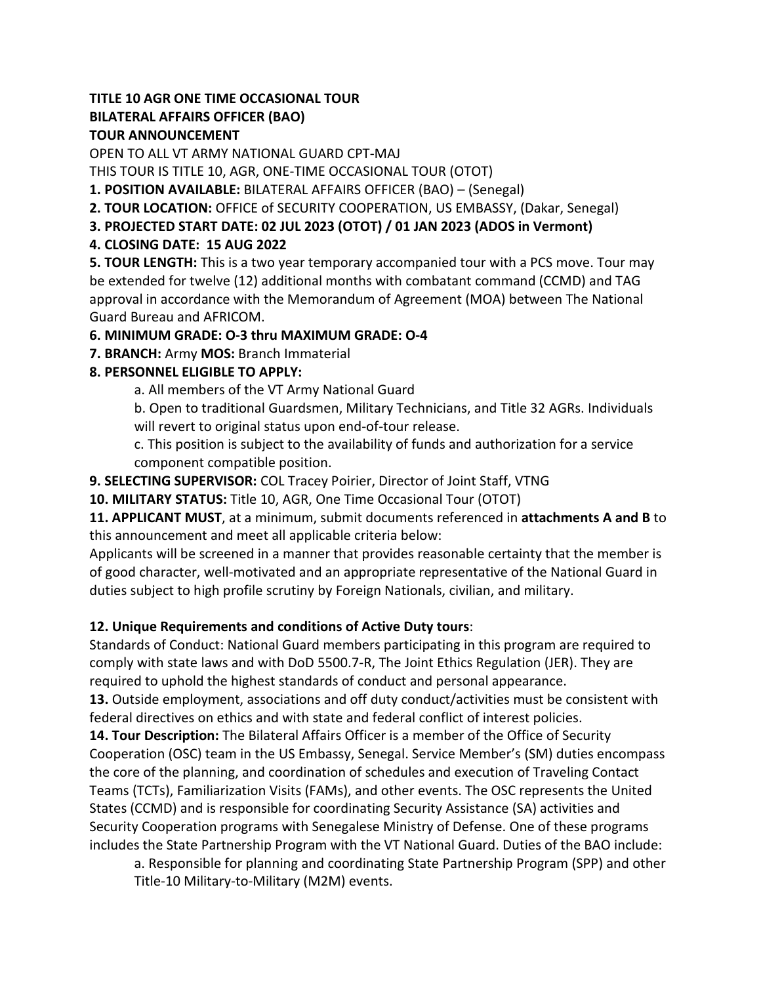### **TITLE 10 AGR ONE TIME OCCASIONAL TOUR BILATERAL AFFAIRS OFFICER (BAO) TOUR ANNOUNCEMENT**

OPEN TO ALL VT ARMY NATIONAL GUARD CPT-MAJ

THIS TOUR IS TITLE 10, AGR, ONE-TIME OCCASIONAL TOUR (OTOT)

**1. POSITION AVAILABLE:** BILATERAL AFFAIRS OFFICER (BAO) – (Senegal)

**2. TOUR LOCATION:** OFFICE of SECURITY COOPERATION, US EMBASSY, (Dakar, Senegal)

**3. PROJECTED START DATE: 02 JUL 2023 (OTOT) / 01 JAN 2023 (ADOS in Vermont)** 

# **4. CLOSING DATE: 15 AUG 2022**

**5. TOUR LENGTH:** This is a two year temporary accompanied tour with a PCS move. Tour may be extended for twelve (12) additional months with combatant command (CCMD) and TAG approval in accordance with the Memorandum of Agreement (MOA) between The National Guard Bureau and AFRICOM.

## **6. MINIMUM GRADE: O-3 thru MAXIMUM GRADE: O-4**

**7. BRANCH:** Army **MOS:** Branch Immaterial

## **8. PERSONNEL ELIGIBLE TO APPLY:**

a. All members of the VT Army National Guard

b. Open to traditional Guardsmen, Military Technicians, and Title 32 AGRs. Individuals will revert to original status upon end-of-tour release.

c. This position is subject to the availability of funds and authorization for a service component compatible position.

**9. SELECTING SUPERVISOR:** COL Tracey Poirier, Director of Joint Staff, VTNG

**10. MILITARY STATUS:** Title 10, AGR, One Time Occasional Tour (OTOT)

**11. APPLICANT MUST**, at a minimum, submit documents referenced in **attachments A and B** to this announcement and meet all applicable criteria below:

Applicants will be screened in a manner that provides reasonable certainty that the member is of good character, well-motivated and an appropriate representative of the National Guard in duties subject to high profile scrutiny by Foreign Nationals, civilian, and military.

# **12. Unique Requirements and conditions of Active Duty tours**:

Standards of Conduct: National Guard members participating in this program are required to comply with state laws and with DoD 5500.7-R, The Joint Ethics Regulation (JER). They are required to uphold the highest standards of conduct and personal appearance.

**13.** Outside employment, associations and off duty conduct/activities must be consistent with federal directives on ethics and with state and federal conflict of interest policies.

**14. Tour Description:** The Bilateral Affairs Officer is a member of the Office of Security Cooperation (OSC) team in the US Embassy, Senegal. Service Member's (SM) duties encompass the core of the planning, and coordination of schedules and execution of Traveling Contact Teams (TCTs), Familiarization Visits (FAMs), and other events. The OSC represents the United States (CCMD) and is responsible for coordinating Security Assistance (SA) activities and Security Cooperation programs with Senegalese Ministry of Defense. One of these programs includes the State Partnership Program with the VT National Guard. Duties of the BAO include:

a. Responsible for planning and coordinating State Partnership Program (SPP) and other Title-10 Military-to-Military (M2M) events.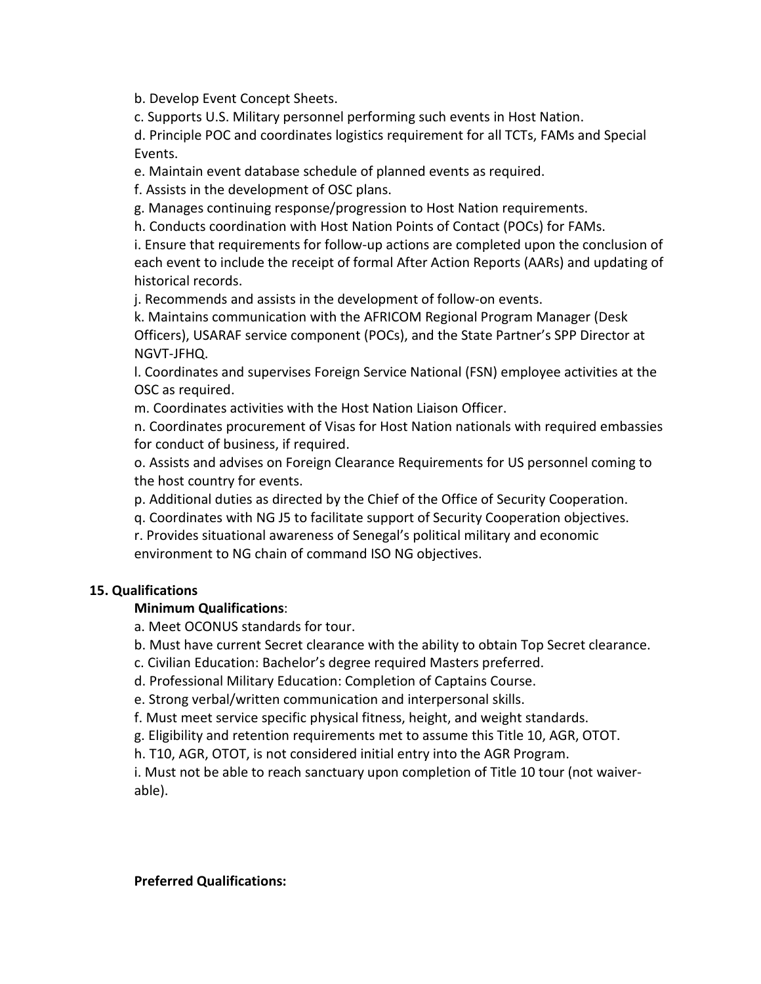b. Develop Event Concept Sheets.

c. Supports U.S. Military personnel performing such events in Host Nation.

d. Principle POC and coordinates logistics requirement for all TCTs, FAMs and Special Events.

e. Maintain event database schedule of planned events as required.

f. Assists in the development of OSC plans.

g. Manages continuing response/progression to Host Nation requirements.

h. Conducts coordination with Host Nation Points of Contact (POCs) for FAMs.

i. Ensure that requirements for follow-up actions are completed upon the conclusion of each event to include the receipt of formal After Action Reports (AARs) and updating of historical records.

j. Recommends and assists in the development of follow-on events.

k. Maintains communication with the AFRICOM Regional Program Manager (Desk Officers), USARAF service component (POCs), and the State Partner's SPP Director at NGVT-JFHQ.

l. Coordinates and supervises Foreign Service National (FSN) employee activities at the OSC as required.

m. Coordinates activities with the Host Nation Liaison Officer.

n. Coordinates procurement of Visas for Host Nation nationals with required embassies for conduct of business, if required.

o. Assists and advises on Foreign Clearance Requirements for US personnel coming to the host country for events.

p. Additional duties as directed by the Chief of the Office of Security Cooperation.

q. Coordinates with NG J5 to facilitate support of Security Cooperation objectives.

r. Provides situational awareness of Senegal's political military and economic environment to NG chain of command ISO NG objectives.

## **15. Qualifications**

### **Minimum Qualifications**:

a. Meet OCONUS standards for tour.

b. Must have current Secret clearance with the ability to obtain Top Secret clearance.

c. Civilian Education: Bachelor's degree required Masters preferred.

d. Professional Military Education: Completion of Captains Course.

e. Strong verbal/written communication and interpersonal skills.

f. Must meet service specific physical fitness, height, and weight standards.

g. Eligibility and retention requirements met to assume this Title 10, AGR, OTOT.

h. T10, AGR, OTOT, is not considered initial entry into the AGR Program.

i. Must not be able to reach sanctuary upon completion of Title 10 tour (not waiverable).

#### **Preferred Qualifications:**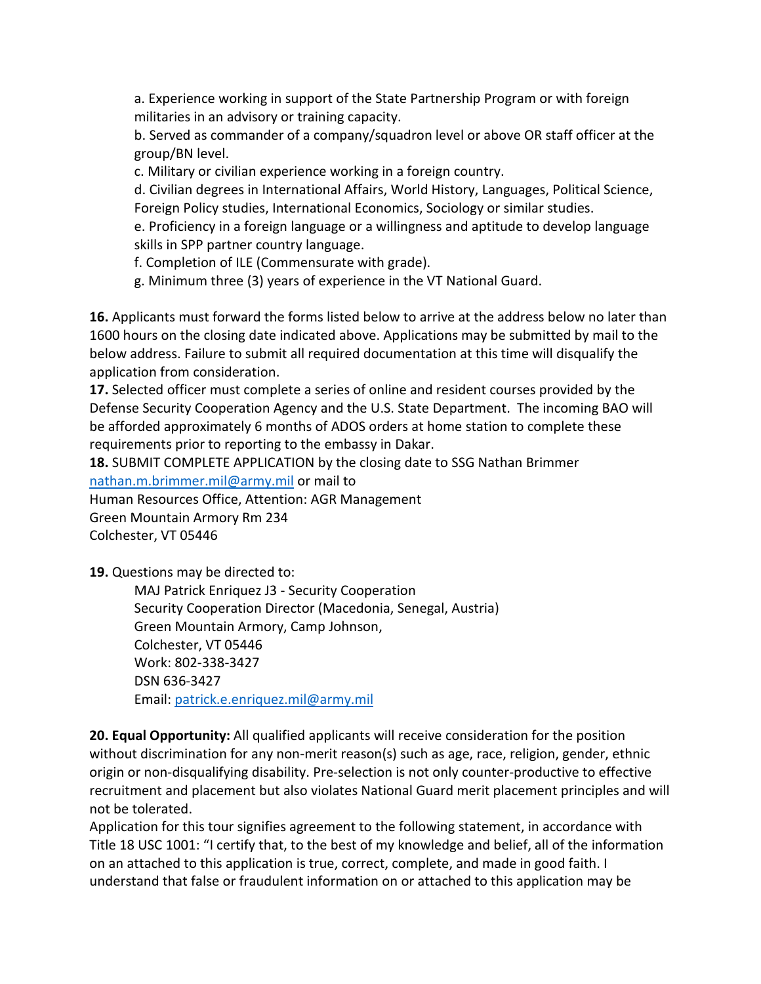a. Experience working in support of the State Partnership Program or with foreign militaries in an advisory or training capacity.

b. Served as commander of a company/squadron level or above OR staff officer at the group/BN level.

c. Military or civilian experience working in a foreign country.

d. Civilian degrees in International Affairs, World History, Languages, Political Science, Foreign Policy studies, International Economics, Sociology or similar studies.

e. Proficiency in a foreign language or a willingness and aptitude to develop language skills in SPP partner country language.

f. Completion of ILE (Commensurate with grade).

g. Minimum three (3) years of experience in the VT National Guard.

**16.** Applicants must forward the forms listed below to arrive at the address below no later than 1600 hours on the closing date indicated above. Applications may be submitted by mail to the below address. Failure to submit all required documentation at this time will disqualify the application from consideration.

**17.** Selected officer must complete a series of online and resident courses provided by the Defense Security Cooperation Agency and the U.S. State Department. The incoming BAO will be afforded approximately 6 months of ADOS orders at home station to complete these requirements prior to reporting to the embassy in Dakar.

**18.** SUBMIT COMPLETE APPLICATION by the closing date to SSG Nathan Brimmer nathan.m.brimmer.mil@army.mil or mail to

Human Resources Office, Attention: AGR Management

Green Mountain Armory Rm 234

Colchester, VT 05446

**19.** Questions may be directed to:

MAJ Patrick Enriquez J3 - Security Cooperation Security Cooperation Director (Macedonia, Senegal, Austria) Green Mountain Armory, Camp Johnson, Colchester, VT 05446 Work: 802-338-3427 DSN 636-3427 Email: [patrick.e.enriquez.mil@army.mil](mailto:patrick.e.enriquez.mil@army.mil) 

**20. Equal Opportunity:** All qualified applicants will receive consideration for the position without discrimination for any non-merit reason(s) such as age, race, religion, gender, ethnic origin or non-disqualifying disability. Pre-selection is not only counter-productive to effective recruitment and placement but also violates National Guard merit placement principles and will not be tolerated.

Application for this tour signifies agreement to the following statement, in accordance with Title 18 USC 1001: "I certify that, to the best of my knowledge and belief, all of the information on an attached to this application is true, correct, complete, and made in good faith. I understand that false or fraudulent information on or attached to this application may be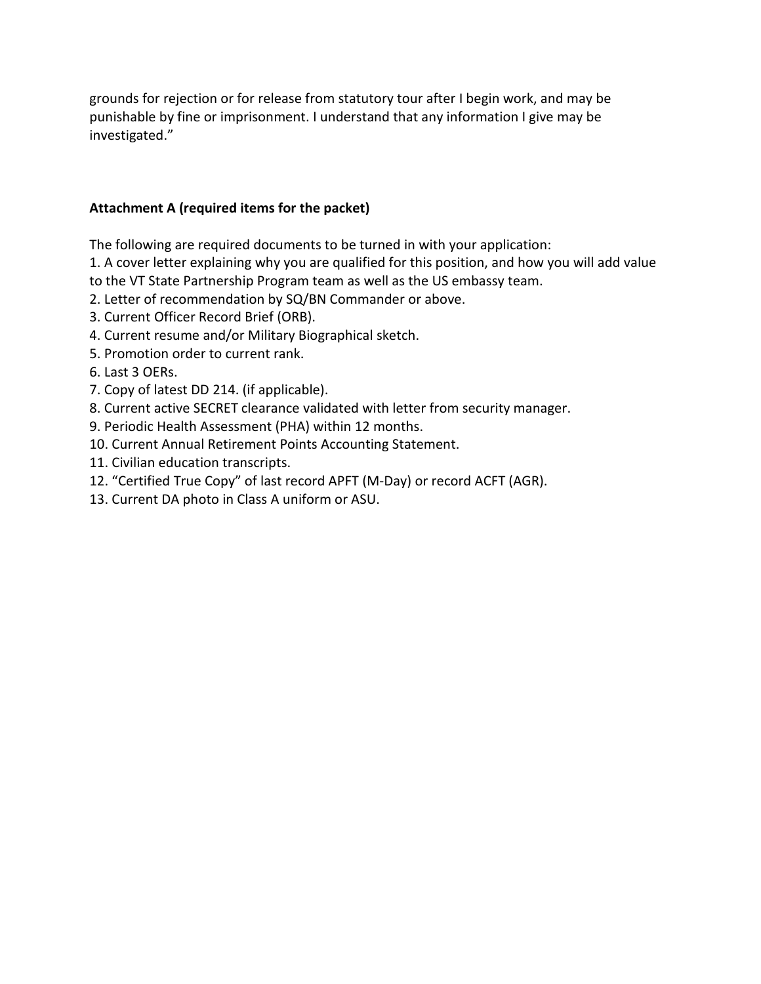grounds for rejection or for release from statutory tour after I begin work, and may be punishable by fine or imprisonment. I understand that any information I give may be investigated."

### **Attachment A (required items for the packet)**

The following are required documents to be turned in with your application:

1. A cover letter explaining why you are qualified for this position, and how you will add value to the VT State Partnership Program team as well as the US embassy team.

- 2. Letter of recommendation by SQ/BN Commander or above.
- 3. Current Officer Record Brief (ORB).
- 4. Current resume and/or Military Biographical sketch.
- 5. Promotion order to current rank.
- 6. Last 3 OERs.
- 7. Copy of latest DD 214. (if applicable).
- 8. Current active SECRET clearance validated with letter from security manager.
- 9. Periodic Health Assessment (PHA) within 12 months.
- 10. Current Annual Retirement Points Accounting Statement.
- 11. Civilian education transcripts.
- 12. "Certified True Copy" of last record APFT (M-Day) or record ACFT (AGR).
- 13. Current DA photo in Class A uniform or ASU.